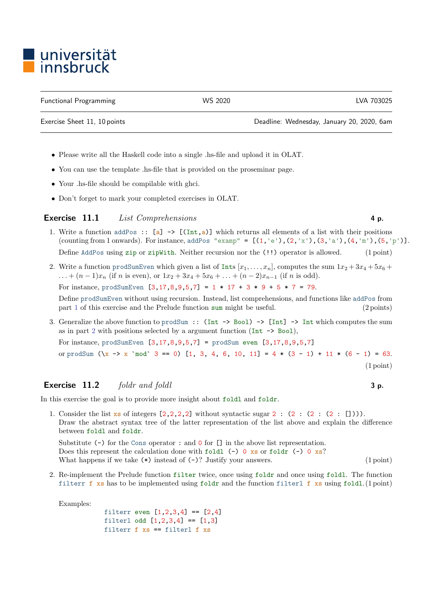## l universität<br>Linnsbruck

Functional Programming WS 2020 LVA 703025

Exercise Sheet 11, 10 points Deadline: Wednesday, January 20, 2020, 6am

- Please write all the Haskell code into a single .hs-file and upload it in OLAT.
- You can use the template .hs-file that is provided on the proseminar page.
- Your .hs-file should be compilable with ghci.
- Don't forget to mark your completed exercises in OLAT.

## Exercise 11.1 List Comprehensions 4 p.

- <span id="page-0-0"></span>1. Write a function addPos ::  $[a] \rightarrow [(Int, a)]$  which returns all elements of a list with their positions (counting from 1 onwards). For instance, addPos "examp" =  $[(1, 'e'), (2, 'x'), (3, 'a'), (4, 'm'), (5, 'p')].$ Define AddPos using zip or zipWith. Neither recursion nor the (!!) operator is allowed. (1 point)
- <span id="page-0-1"></span>2. Write a function prodSumEven which given a list of Ints  $[x_1, \ldots, x_n]$ , computes the sum  $1x_2 + 3x_4 + 5x_6 +$ ... +  $(n-1)x_n$  (if n is even), or  $1x_2 + 3x_4 + 5x_6 + ... + (n-2)x_{n-1}$  (if n is odd). For instance, prodSumEven  $[3, 17, 8, 9, 5, 7] = 1 * 17 + 3 * 9 + 5 * 7 = 79$ .

Define prodSumEven without using recursion. Instead, list comprehensions, and functions like addPos from part [1](#page-0-0) of this exercise and the Prelude function sum might be useful. (2 points)

3. Generalize the above function to prodSum :: (Int -> Bool) -> [Int] -> Int which computes the sum as in part [2](#page-0-1) with positions selected by a argument function (Int  $\rightarrow$  Boo1), For instance, prodSumEven  $[3,17,8,9,5,7]$  = prodSum even  $[3,17,8,9,5,7]$ or prodSum  $(\{x \rightarrow x \mod 3 = 0\})$  [1, 3, 4, 6, 10, 11] = 4  $*(3 - 1) + 11 * (6 - 1) = 63$ .

## **Exercise 11.2** foldr and foldl  $\bullet$  3 p.

In this exercise the goal is to provide more insight about foldl and foldr.

1. Consider the list  $\mathbf{x}$  of integers  $[2,2,2,2]$  without syntactic sugar 2 :  $(2 : (2 : (2 : []))$ . Draw the abstract syntax tree of the latter representation of the list above and explain the difference between foldl and foldr.

Substitute (-) for the Cons operator : and 0 for [] in the above list representation. Does this represent the calculation done with foldl  $(-)$  0 xs or foldr  $(-)$  0 xs? What happens if we take  $(*)$  instead of  $(-)$ ? Justify your answers. (1 point)

2. Re-implement the Prelude function filter twice, once using foldr and once using foldl. The function filterr f xs has to be implemented using foldr and the function filterl f xs using foldl. (1 point)

Examples:

```
filterr even [1,2,3,4] == [2,4]filterl odd [1,2,3,4] == [1,3]filterr f xs == filterl f xs
```
(1 point)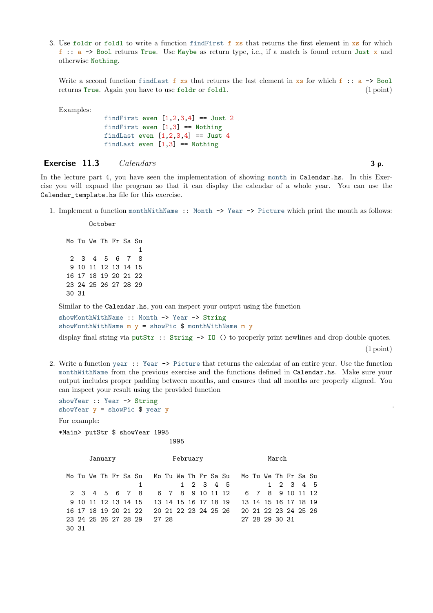3. Use foldr or foldl to write a function find First f  $x_s$  that returns the first element in  $x_s$  for which f :: a -> Bool returns True. Use Maybe as return type, i.e., if a match is found return Just x and otherwise Nothing.

Write a second function findlast f xs that returns the last element in xs for which f:  $: a \rightarrow$  Bool returns True. Again you have to use foldr or foldl. (1 point)

Examples:

findFirst even  $[1,2,3,4]$  == Just 2 findFirst even  $[1,3]$  == Nothing findLast even  $[1,2,3,4]$  == Just 4 findLast even  $[1,3] ==$  Nothing

## Exercise  $11.3$  Calendars  $3 p$ .

In the lecture part 4, you have seen the implementation of showing month in Calendar.hs. In this Exercise you will expand the program so that it can display the calendar of a whole year. You can use the Calendar\_template.hs file for this exercise.

1. Implement a function monthWithName :: Month -> Year -> Picture which print the month as follows:

October

Mo Tu We Th Fr Sa Su 1 2 3 4 5 6 7 8 9 10 11 12 13 14 15 16 17 18 19 20 21 22 23 24 25 26 27 28 29 30 31

Similar to the Calendar.hs, you can inspect your output using the function

showMonthWithName :: Month -> Year -> String showMonthWithName  $m y =$ showPic \$ monthWithName  $m y$ 

display final string via putStr :: String -> IO () to properly print newlines and drop double quotes.

(1 point)

.

2. Write a function year :: Year -> Picture that returns the calendar of an entire year. Use the function monthWithName from the previous exercise and the functions defined in Calendar.hs. Make sure your output includes proper padding between months, and ensures that all months are properly aligned. You can inspect your result using the provided function

showYear :: Year -> String showYear  $y =$  showPic \$ year  $y$ For example:

\*Main> putStr \$ showYear 1995

1995

January February February March

|       |  |  |  | Mo Tu We Th Fr Sa Su Mo Tu We Th Fr Sa Su Mo Tu We Th Fr Sa Su |  |  |  |                |  |  |  |
|-------|--|--|--|----------------------------------------------------------------|--|--|--|----------------|--|--|--|
|       |  |  |  | 1 1 2 3 4 5 1 2 3 4 5                                          |  |  |  |                |  |  |  |
|       |  |  |  | 2 3 4 5 6 7 8 6 7 8 9 10 11 12 6 7 8 9 10 11 12                |  |  |  |                |  |  |  |
|       |  |  |  | 9 10 11 12 13 14 15 13 14 15 16 17 18 19 13 14 15 16 17 18 19  |  |  |  |                |  |  |  |
|       |  |  |  | 16 17 18 19 20 21 22 20 21 22 23 24 25 26 20 21 22 23 24 25 26 |  |  |  |                |  |  |  |
|       |  |  |  | 23 24 25 26 27 28 29 27 28                                     |  |  |  | 27 28 29 30 31 |  |  |  |
| 30 31 |  |  |  |                                                                |  |  |  |                |  |  |  |